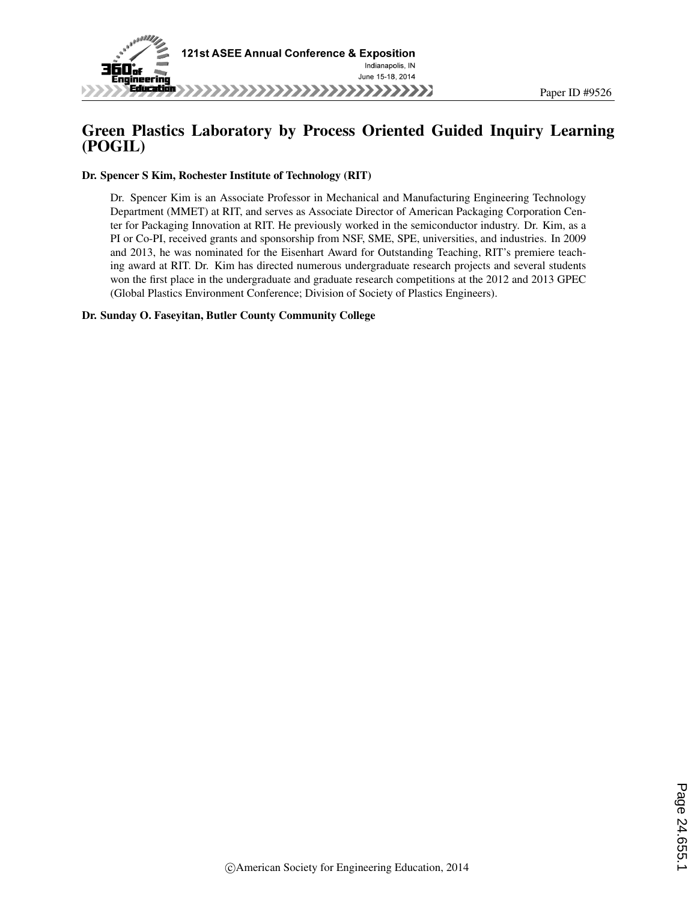

## Green Plastics Laboratory by Process Oriented Guided Inquiry Learning (POGIL)

Dr. Spencer S Kim, Rochester Institute of Technology (RIT)

Dr. Spencer Kim is an Associate Professor in Mechanical and Manufacturing Engineering Technology Department (MMET) at RIT, and serves as Associate Director of American Packaging Corporation Center for Packaging Innovation at RIT. He previously worked in the semiconductor industry. Dr. Kim, as a PI or Co-PI, received grants and sponsorship from NSF, SME, SPE, universities, and industries. In 2009 and 2013, he was nominated for the Eisenhart Award for Outstanding Teaching, RIT's premiere teaching award at RIT. Dr. Kim has directed numerous undergraduate research projects and several students won the first place in the undergraduate and graduate research competitions at the 2012 and 2013 GPEC (Global Plastics Environment Conference; Division of Society of Plastics Engineers).

#### Dr. Sunday O. Faseyitan, Butler County Community College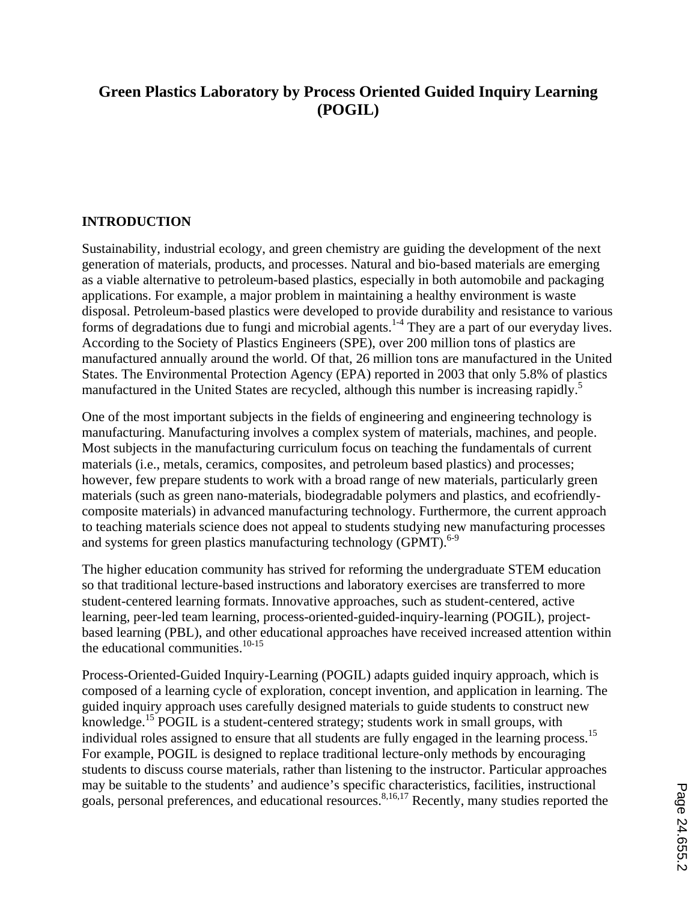# **Green Plastics Laboratory by Process Oriented Guided Inquiry Learning (POGIL)**

### **INTRODUCTION**

Sustainability, industrial ecology, and green chemistry are guiding the development of the next generation of materials, products, and processes. Natural and bio-based materials are emerging as a viable alternative to petroleum-based plastics, especially in both automobile and packaging applications. For example, a major problem in maintaining a healthy environment is waste disposal. Petroleum-based plastics were developed to provide durability and resistance to various forms of degradations due to fungi and microbial agents.<sup>1-4</sup> They are a part of our everyday lives. According to the Society of Plastics Engineers (SPE), over 200 million tons of plastics are manufactured annually around the world. Of that, 26 million tons are manufactured in the United States. The Environmental Protection Agency (EPA) reported in 2003 that only 5.8% of plastics manufactured in the United States are recycled, although this number is increasing rapidly.<sup>5</sup>

One of the most important subjects in the fields of engineering and engineering technology is manufacturing. Manufacturing involves a complex system of materials, machines, and people. Most subjects in the manufacturing curriculum focus on teaching the fundamentals of current materials (i.e., metals, ceramics, composites, and petroleum based plastics) and processes; however, few prepare students to work with a broad range of new materials, particularly green materials (such as green nano-materials, biodegradable polymers and plastics, and ecofriendlycomposite materials) in advanced manufacturing technology. Furthermore, the current approach to teaching materials science does not appeal to students studying new manufacturing processes and systems for green plastics manufacturing technology (GPMT). $6-9$ 

The higher education community has strived for reforming the undergraduate STEM education so that traditional lecture-based instructions and laboratory exercises are transferred to more student-centered learning formats. Innovative approaches, such as student-centered, active learning, peer-led team learning, process-oriented-guided-inquiry-learning (POGIL), projectbased learning (PBL), and other educational approaches have received increased attention within the educational communities. $10-15$ 

Process-Oriented-Guided Inquiry-Learning (POGIL) adapts guided inquiry approach, which is composed of a learning cycle of exploration, concept invention, and application in learning. The guided inquiry approach uses carefully designed materials to guide students to construct new knowledge.15 POGIL is a student-centered strategy; students work in small groups, with individual roles assigned to ensure that all students are fully engaged in the learning process.<sup>15</sup> For example, POGIL is designed to replace traditional lecture-only methods by encouraging students to discuss course materials, rather than listening to the instructor. Particular approaches may be suitable to the students' and audience's specific characteristics, facilities, instructional goals, personal preferences, and educational resources.<sup>8,16,17</sup> Recently, many studies reported the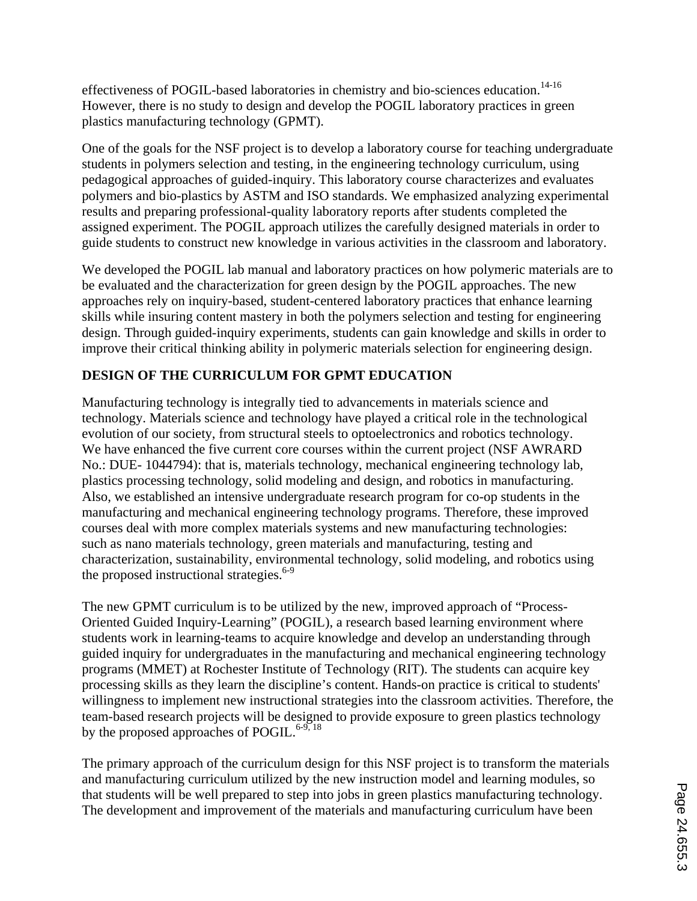effectiveness of POGIL-based laboratories in chemistry and bio-sciences education.<sup>14-16</sup> However, there is no study to design and develop the POGIL laboratory practices in green plastics manufacturing technology (GPMT).

One of the goals for the NSF project is to develop a laboratory course for teaching undergraduate students in polymers selection and testing, in the engineering technology curriculum, using pedagogical approaches of guided-inquiry. This laboratory course characterizes and evaluates polymers and bio-plastics by ASTM and ISO standards. We emphasized analyzing experimental results and preparing professional-quality laboratory reports after students completed the assigned experiment. The POGIL approach utilizes the carefully designed materials in order to guide students to construct new knowledge in various activities in the classroom and laboratory.

We developed the POGIL lab manual and laboratory practices on how polymeric materials are to be evaluated and the characterization for green design by the POGIL approaches. The new approaches rely on inquiry-based, student-centered laboratory practices that enhance learning skills while insuring content mastery in both the polymers selection and testing for engineering design. Through guided-inquiry experiments, students can gain knowledge and skills in order to improve their critical thinking ability in polymeric materials selection for engineering design.

# **DESIGN OF THE CURRICULUM FOR GPMT EDUCATION**

Manufacturing technology is integrally tied to advancements in materials science and technology. Materials science and technology have played a critical role in the technological evolution of our society, from structural steels to optoelectronics and robotics technology. We have enhanced the five current core courses within the current project (NSF AWRARD No.: DUE- 1044794): that is, materials technology, mechanical engineering technology lab, plastics processing technology, solid modeling and design, and robotics in manufacturing. Also, we established an intensive undergraduate research program for co-op students in the manufacturing and mechanical engineering technology programs. Therefore, these improved courses deal with more complex materials systems and new manufacturing technologies: such as nano materials technology, green materials and manufacturing, testing and characterization, sustainability, environmental technology, solid modeling, and robotics using the proposed instructional strategies. $6-9$ 

The new GPMT curriculum is to be utilized by the new, improved approach of "Process-Oriented Guided Inquiry-Learning" (POGIL), a research based learning environment where students work in learning-teams to acquire knowledge and develop an understanding through guided inquiry for undergraduates in the manufacturing and mechanical engineering technology programs (MMET) at Rochester Institute of Technology (RIT). The students can acquire key processing skills as they learn the discipline's content. Hands-on practice is critical to students' willingness to implement new instructional strategies into the classroom activities. Therefore, the team-based research projects will be designed to provide exposure to green plastics technology by the proposed approaches of POGIL. $6-9, 18$ 

The primary approach of the curriculum design for this NSF project is to transform the materials and manufacturing curriculum utilized by the new instruction model and learning modules, so that students will be well prepared to step into jobs in green plastics manufacturing technology. The development and improvement of the materials and manufacturing curriculum have been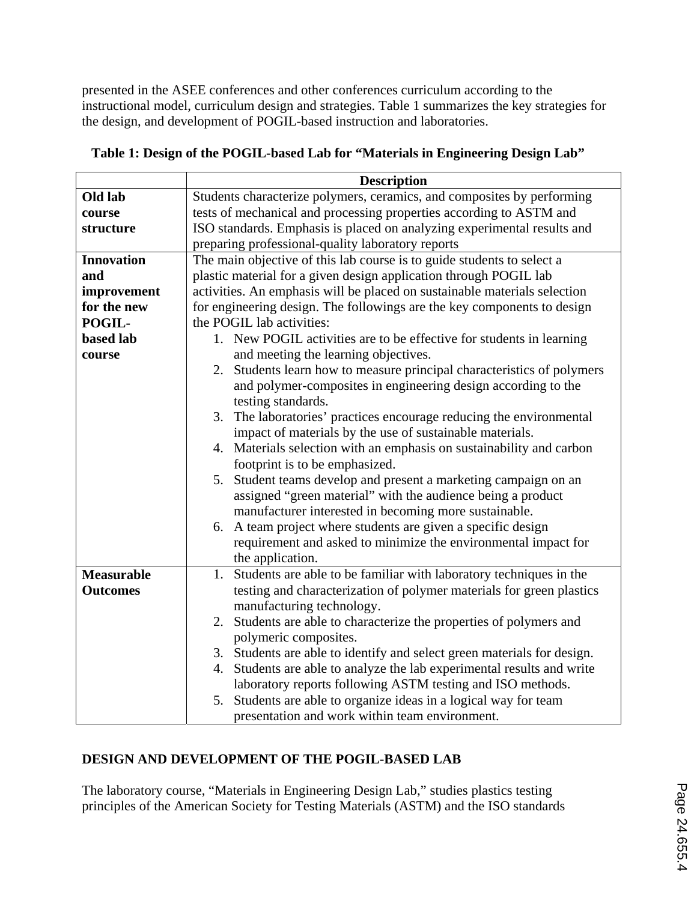presented in the ASEE conferences and other conferences curriculum according to the instructional model, curriculum design and strategies. Table 1 summarizes the key strategies for the design, and development of POGIL-based instruction and laboratories.

|                   | <b>Description</b>                                                        |
|-------------------|---------------------------------------------------------------------------|
| Old lab           | Students characterize polymers, ceramics, and composites by performing    |
| course            | tests of mechanical and processing properties according to ASTM and       |
| structure         | ISO standards. Emphasis is placed on analyzing experimental results and   |
|                   | preparing professional-quality laboratory reports                         |
| <b>Innovation</b> | The main objective of this lab course is to guide students to select a    |
| and               | plastic material for a given design application through POGIL lab         |
| improvement       | activities. An emphasis will be placed on sustainable materials selection |
| for the new       | for engineering design. The followings are the key components to design   |
| POGIL-            | the POGIL lab activities:                                                 |
| <b>based</b> lab  | 1. New POGIL activities are to be effective for students in learning      |
| course            | and meeting the learning objectives.                                      |
|                   | Students learn how to measure principal characteristics of polymers<br>2. |
|                   | and polymer-composites in engineering design according to the             |
|                   | testing standards.                                                        |
|                   | 3. The laboratories' practices encourage reducing the environmental       |
|                   | impact of materials by the use of sustainable materials.                  |
|                   | 4. Materials selection with an emphasis on sustainability and carbon      |
|                   | footprint is to be emphasized.                                            |
|                   | 5. Student teams develop and present a marketing campaign on an           |
|                   | assigned "green material" with the audience being a product               |
|                   | manufacturer interested in becoming more sustainable.                     |
|                   | 6. A team project where students are given a specific design              |
|                   | requirement and asked to minimize the environmental impact for            |
|                   | the application.                                                          |
| <b>Measurable</b> | 1. Students are able to be familiar with laboratory techniques in the     |
| <b>Outcomes</b>   | testing and characterization of polymer materials for green plastics      |
|                   | manufacturing technology.                                                 |
|                   | 2. Students are able to characterize the properties of polymers and       |
|                   | polymeric composites.                                                     |
|                   | 3. Students are able to identify and select green materials for design.   |
|                   | 4. Students are able to analyze the lab experimental results and write    |
|                   | laboratory reports following ASTM testing and ISO methods.                |
|                   | 5. Students are able to organize ideas in a logical way for team          |
|                   | presentation and work within team environment.                            |

**Table 1: Design of the POGIL-based Lab for "Materials in Engineering Design Lab"** 

### **DESIGN AND DEVELOPMENT OF THE POGIL-BASED LAB**

The laboratory course, "Materials in Engineering Design Lab," studies plastics testing principles of the American Society for Testing Materials (ASTM) and the ISO standards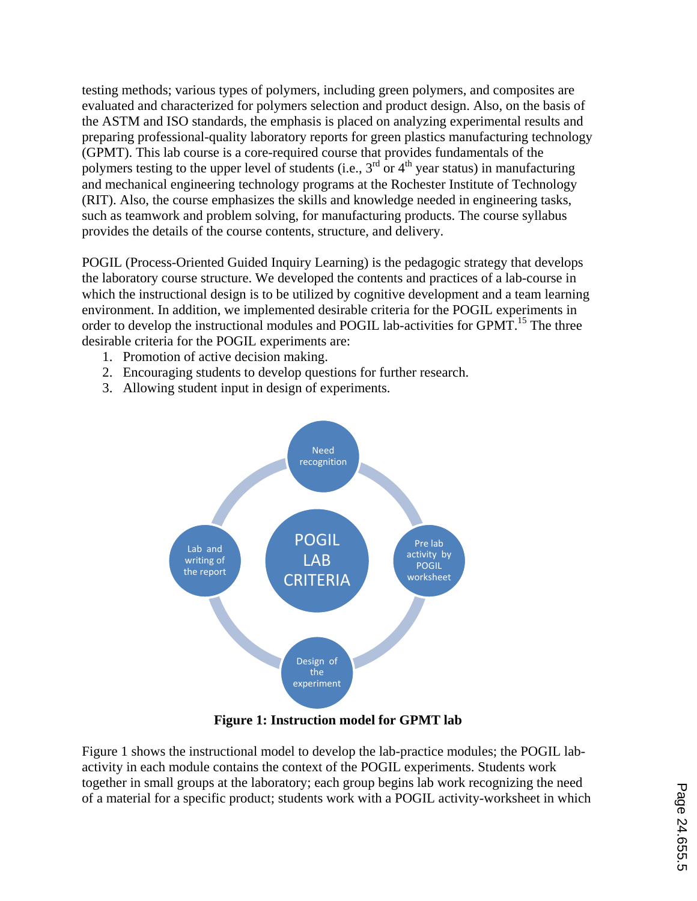testing methods; various types of polymers, including green polymers, and composites are evaluated and characterized for polymers selection and product design. Also, on the basis of the ASTM and ISO standards, the emphasis is placed on analyzing experimental results and preparing professional-quality laboratory reports for green plastics manufacturing technology (GPMT). This lab course is a core-required course that provides fundamentals of the polymers testing to the upper level of students (i.e.,  $3<sup>rd</sup>$  or  $4<sup>th</sup>$  year status) in manufacturing and mechanical engineering technology programs at the Rochester Institute of Technology (RIT). Also, the course emphasizes the skills and knowledge needed in engineering tasks, such as teamwork and problem solving, for manufacturing products. The course syllabus provides the details of the course contents, structure, and delivery.

POGIL (Process-Oriented Guided Inquiry Learning) is the pedagogic strategy that develops the laboratory course structure. We developed the contents and practices of a lab-course in which the instructional design is to be utilized by cognitive development and a team learning environment. In addition, we implemented desirable criteria for the POGIL experiments in order to develop the instructional modules and POGIL lab-activities for GPMT.<sup>15</sup> The three desirable criteria for the POGIL experiments are:

- 1. Promotion of active decision making.
- 2. Encouraging students to develop questions for further research.
- 3. Allowing student input in design of experiments.



**Figure 1: Instruction model for GPMT lab** 

Figure 1 shows the instructional model to develop the lab-practice modules; the POGIL labactivity in each module contains the context of the POGIL experiments. Students work together in small groups at the laboratory; each group begins lab work recognizing the need of a material for a specific product; students work with a POGIL activity-worksheet in which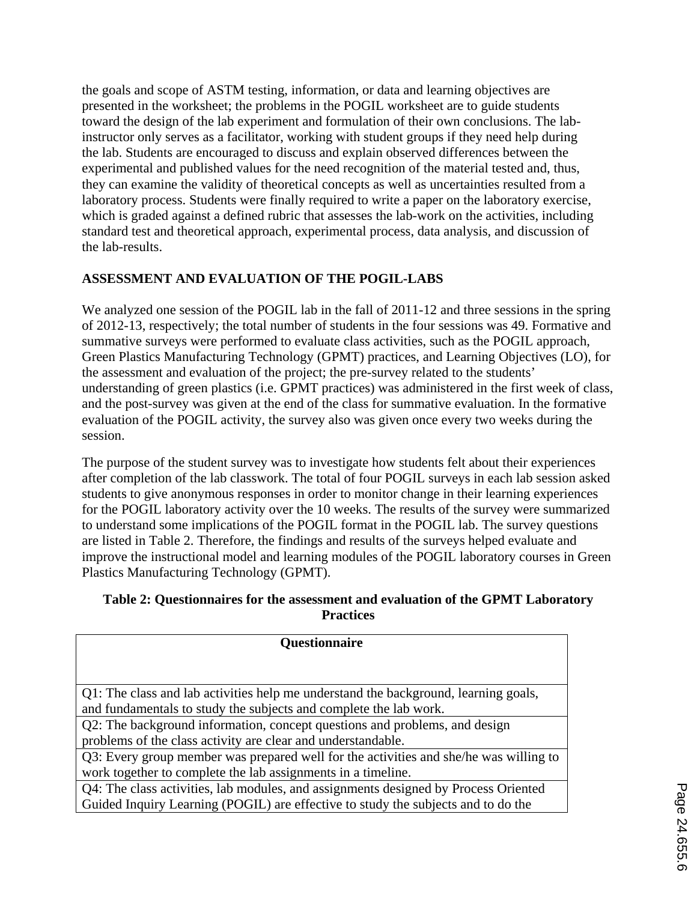the goals and scope of ASTM testing, information, or data and learning objectives are presented in the worksheet; the problems in the POGIL worksheet are to guide students toward the design of the lab experiment and formulation of their own conclusions. The labinstructor only serves as a facilitator, working with student groups if they need help during the lab. Students are encouraged to discuss and explain observed differences between the experimental and published values for the need recognition of the material tested and, thus, they can examine the validity of theoretical concepts as well as uncertainties resulted from a laboratory process. Students were finally required to write a paper on the laboratory exercise, which is graded against a defined rubric that assesses the lab-work on the activities, including standard test and theoretical approach, experimental process, data analysis, and discussion of the lab-results.

### **ASSESSMENT AND EVALUATION OF THE POGIL-LABS**

We analyzed one session of the POGIL lab in the fall of 2011-12 and three sessions in the spring of 2012-13, respectively; the total number of students in the four sessions was 49. Formative and summative surveys were performed to evaluate class activities, such as the POGIL approach, Green Plastics Manufacturing Technology (GPMT) practices, and Learning Objectives (LO), for the assessment and evaluation of the project; the pre-survey related to the students' understanding of green plastics (i.e. GPMT practices) was administered in the first week of class, and the post-survey was given at the end of the class for summative evaluation. In the formative evaluation of the POGIL activity, the survey also was given once every two weeks during the session.

The purpose of the student survey was to investigate how students felt about their experiences after completion of the lab classwork. The total of four POGIL surveys in each lab session asked students to give anonymous responses in order to monitor change in their learning experiences for the POGIL laboratory activity over the 10 weeks. The results of the survey were summarized to understand some implications of the POGIL format in the POGIL lab. The survey questions are listed in Table 2. Therefore, the findings and results of the surveys helped evaluate and improve the instructional model and learning modules of the POGIL laboratory courses in Green Plastics Manufacturing Technology (GPMT).

#### **Table 2: Questionnaires for the assessment and evaluation of the GPMT Laboratory Practices**

| <b>Questionnaire</b>                                                                  |  |
|---------------------------------------------------------------------------------------|--|
|                                                                                       |  |
| Q1: The class and lab activities help me understand the background, learning goals,   |  |
| and fundamentals to study the subjects and complete the lab work.                     |  |
| Q2: The background information, concept questions and problems, and design            |  |
| problems of the class activity are clear and understandable.                          |  |
| Q3: Every group member was prepared well for the activities and she/he was willing to |  |
| work together to complete the lab assignments in a timeline.                          |  |
| Q4: The class activities, lab modules, and assignments designed by Process Oriented   |  |
| Guided Inquiry Learning (POGIL) are effective to study the subjects and to do the     |  |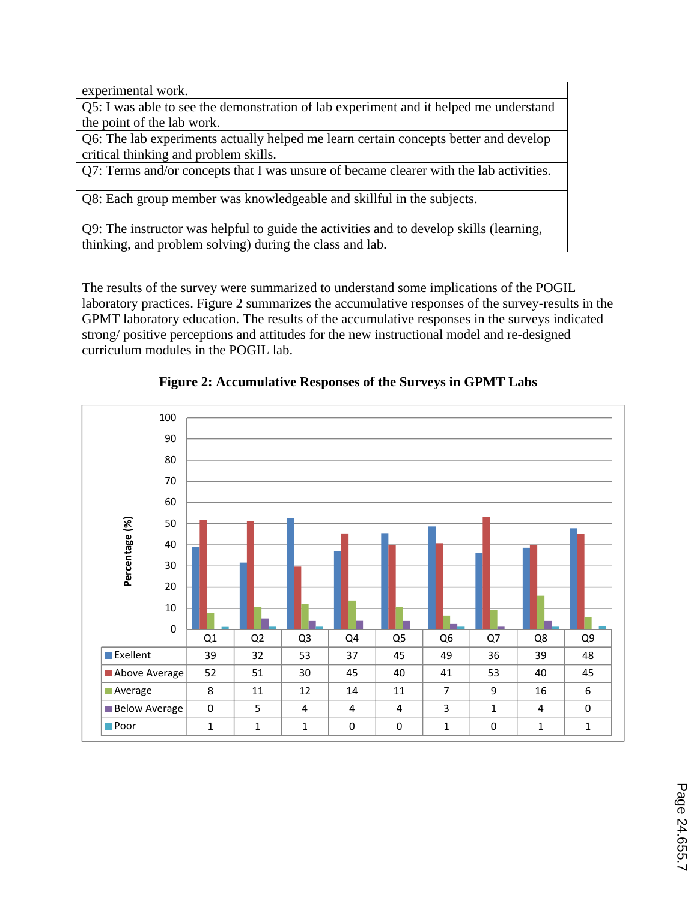experimental work.

Q5: I was able to see the demonstration of lab experiment and it helped me understand the point of the lab work.

Q6: The lab experiments actually helped me learn certain concepts better and develop critical thinking and problem skills.

Q7: Terms and/or concepts that I was unsure of became clearer with the lab activities.

Q8: Each group member was knowledgeable and skillful in the subjects.

Q9: The instructor was helpful to guide the activities and to develop skills (learning, thinking, and problem solving) during the class and lab.

The results of the survey were summarized to understand some implications of the POGIL laboratory practices. Figure 2 summarizes the accumulative responses of the survey-results in the GPMT laboratory education. The results of the accumulative responses in the surveys indicated strong/ positive perceptions and attitudes for the new instructional model and re-designed curriculum modules in the POGIL lab.



**Figure 2: Accumulative Responses of the Surveys in GPMT Labs**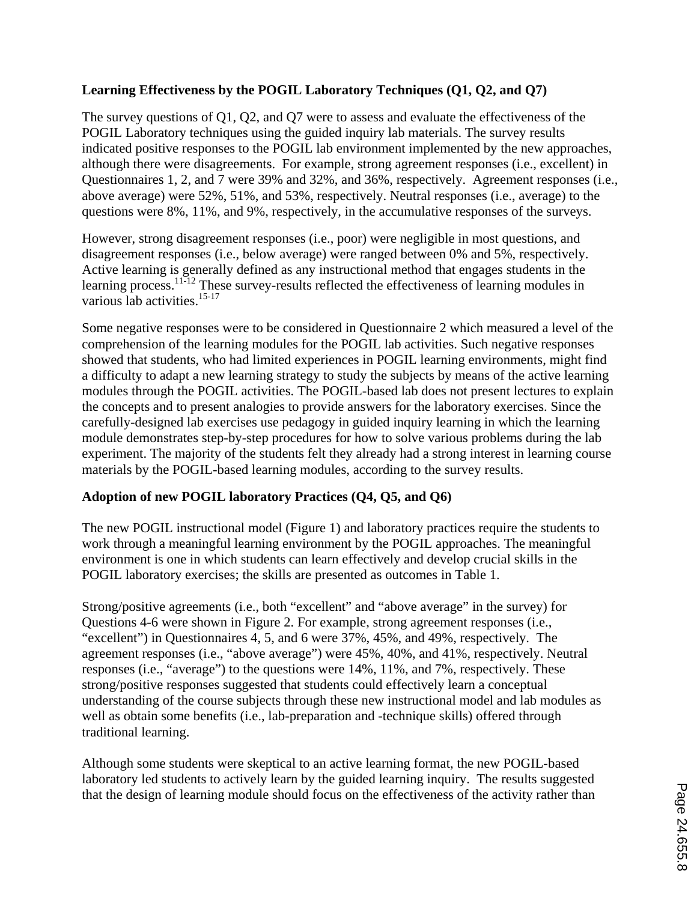### **Learning Effectiveness by the POGIL Laboratory Techniques (Q1, Q2, and Q7)**

The survey questions of Q1, Q2, and Q7 were to assess and evaluate the effectiveness of the POGIL Laboratory techniques using the guided inquiry lab materials. The survey results indicated positive responses to the POGIL lab environment implemented by the new approaches, although there were disagreements. For example, strong agreement responses (i.e., excellent) in Questionnaires 1, 2, and 7 were 39% and 32%, and 36%, respectively. Agreement responses (i.e., above average) were 52%, 51%, and 53%, respectively. Neutral responses (i.e., average) to the questions were 8%, 11%, and 9%, respectively, in the accumulative responses of the surveys.

However, strong disagreement responses (i.e., poor) were negligible in most questions, and disagreement responses (i.e., below average) were ranged between 0% and 5%, respectively. Active learning is generally defined as any instructional method that engages students in the learning process.<sup>11-12</sup> These survey-results reflected the effectiveness of learning modules in various lab activities.<sup>15-17</sup>

Some negative responses were to be considered in Questionnaire 2 which measured a level of the comprehension of the learning modules for the POGIL lab activities. Such negative responses showed that students, who had limited experiences in POGIL learning environments, might find a difficulty to adapt a new learning strategy to study the subjects by means of the active learning modules through the POGIL activities. The POGIL-based lab does not present lectures to explain the concepts and to present analogies to provide answers for the laboratory exercises. Since the carefully-designed lab exercises use pedagogy in guided inquiry learning in which the learning module demonstrates step-by-step procedures for how to solve various problems during the lab experiment. The majority of the students felt they already had a strong interest in learning course materials by the POGIL-based learning modules, according to the survey results.

### **Adoption of new POGIL laboratory Practices (Q4, Q5, and Q6)**

The new POGIL instructional model (Figure 1) and laboratory practices require the students to work through a meaningful learning environment by the POGIL approaches. The meaningful environment is one in which students can learn effectively and develop crucial skills in the POGIL laboratory exercises; the skills are presented as outcomes in Table 1.

Strong/positive agreements (i.e., both "excellent" and "above average" in the survey) for Questions 4-6 were shown in Figure 2. For example, strong agreement responses (i.e., "excellent") in Questionnaires 4, 5, and 6 were 37%, 45%, and 49%, respectively. The agreement responses (i.e., "above average") were 45%, 40%, and 41%, respectively. Neutral responses (i.e., "average") to the questions were 14%, 11%, and 7%, respectively. These strong/positive responses suggested that students could effectively learn a conceptual understanding of the course subjects through these new instructional model and lab modules as well as obtain some benefits (i.e., lab-preparation and -technique skills) offered through traditional learning.

Although some students were skeptical to an active learning format, the new POGIL-based laboratory led students to actively learn by the guided learning inquiry. The results suggested that the design of learning module should focus on the effectiveness of the activity rather than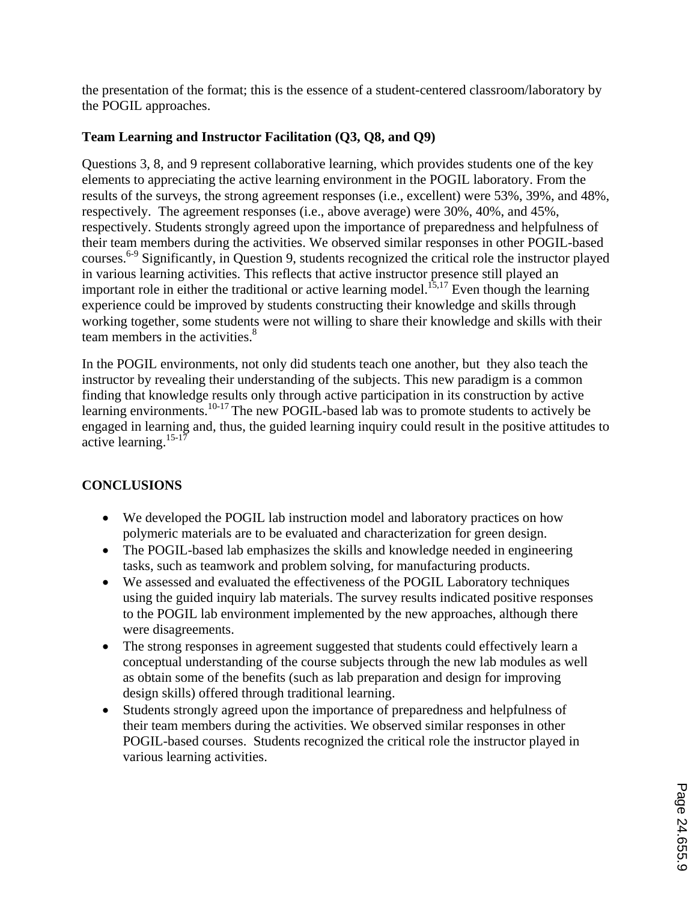the presentation of the format; this is the essence of a student-centered classroom/laboratory by the POGIL approaches.

### **Team Learning and Instructor Facilitation (Q3, Q8, and Q9)**

Questions 3, 8, and 9 represent collaborative learning, which provides students one of the key elements to appreciating the active learning environment in the POGIL laboratory. From the results of the surveys, the strong agreement responses (i.e., excellent) were 53%, 39%, and 48%, respectively. The agreement responses (i.e., above average) were 30%, 40%, and 45%, respectively. Students strongly agreed upon the importance of preparedness and helpfulness of their team members during the activities. We observed similar responses in other POGIL-based courses.6-9 Significantly, in Question 9, students recognized the critical role the instructor played in various learning activities. This reflects that active instructor presence still played an important role in either the traditional or active learning model.<sup>15,17</sup> Even though the learning experience could be improved by students constructing their knowledge and skills through working together, some students were not willing to share their knowledge and skills with their team members in the activities.<sup>8</sup>

In the POGIL environments, not only did students teach one another, but they also teach the instructor by revealing their understanding of the subjects. This new paradigm is a common finding that knowledge results only through active participation in its construction by active learning environments.<sup>10-17</sup> The new POGIL-based lab was to promote students to actively be engaged in learning and, thus, the guided learning inquiry could result in the positive attitudes to active learning.15-17

### **CONCLUSIONS**

- We developed the POGIL lab instruction model and laboratory practices on how polymeric materials are to be evaluated and characterization for green design.
- The POGIL-based lab emphasizes the skills and knowledge needed in engineering tasks, such as teamwork and problem solving, for manufacturing products.
- We assessed and evaluated the effectiveness of the POGIL Laboratory techniques using the guided inquiry lab materials. The survey results indicated positive responses to the POGIL lab environment implemented by the new approaches, although there were disagreements.
- The strong responses in agreement suggested that students could effectively learn a conceptual understanding of the course subjects through the new lab modules as well as obtain some of the benefits (such as lab preparation and design for improving design skills) offered through traditional learning.
- Students strongly agreed upon the importance of preparedness and helpfulness of their team members during the activities. We observed similar responses in other POGIL-based courses. Students recognized the critical role the instructor played in various learning activities.